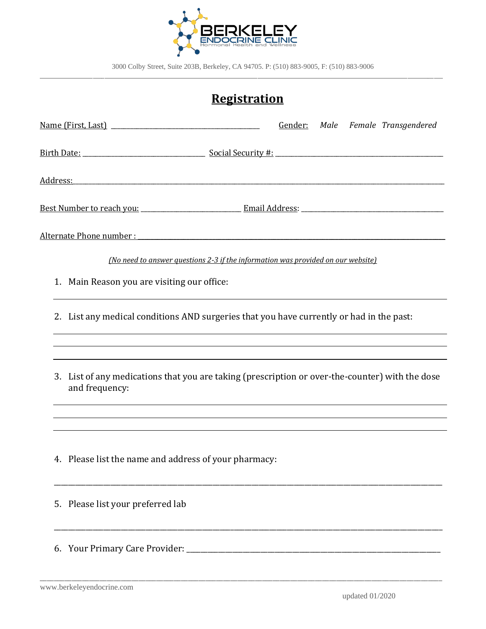

# **Registration**

|                                                                                                                   |  | Gender: Male Female Transgendered |
|-------------------------------------------------------------------------------------------------------------------|--|-----------------------------------|
|                                                                                                                   |  |                                   |
|                                                                                                                   |  |                                   |
|                                                                                                                   |  |                                   |
| Alternate Phone number : with a state of the state of the state of the state of the state of the state of the     |  |                                   |
| (No need to answer questions 2-3 if the information was provided on our website)                                  |  |                                   |
| 1. Main Reason you are visiting our office:                                                                       |  |                                   |
| 2. List any medical conditions AND surgeries that you have currently or had in the past:                          |  |                                   |
|                                                                                                                   |  |                                   |
| 3. List of any medications that you are taking (prescription or over-the-counter) with the dose<br>and frequency: |  |                                   |
|                                                                                                                   |  |                                   |
| 4. Please list the name and address of your pharmacy:                                                             |  |                                   |
| 5. Please list your preferred lab                                                                                 |  |                                   |
|                                                                                                                   |  |                                   |

\_\_\_\_\_\_\_\_\_\_\_\_\_\_\_\_\_\_\_\_\_\_\_\_\_\_\_\_\_\_\_\_\_\_\_\_\_\_\_\_\_\_\_\_\_\_\_\_\_\_\_\_\_\_\_\_\_\_\_\_\_\_\_\_\_\_\_\_\_\_\_\_\_\_\_\_\_\_\_\_\_\_\_\_\_\_\_\_\_\_\_\_\_\_\_\_\_\_\_\_\_\_\_\_\_\_\_\_\_\_\_\_\_\_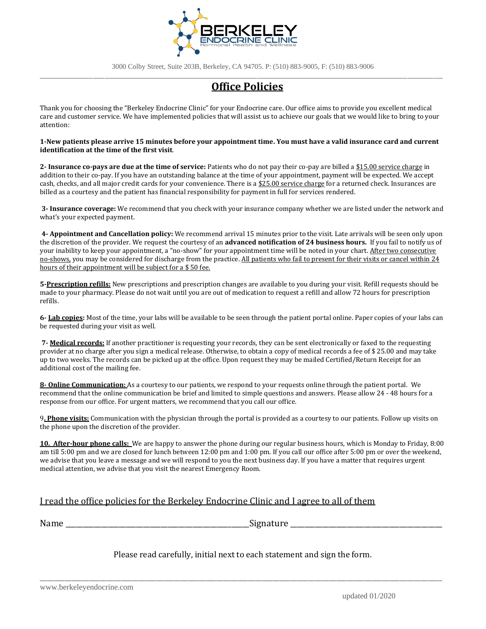

3000 Colby Street, Suite 203B, Berkeley, CA 94705. P: (510) 883-9005, F: (510) 883-9006

### \_\_\_\_\_\_\_\_\_\_\_\_\_\_\_\_\_\_\_\_\_\_\_\_\_\_\_\_\_\_\_\_\_\_\_\_\_\_\_\_\_\_\_\_\_\_\_\_\_\_\_\_\_\_\_\_\_\_\_\_\_\_\_\_\_\_\_\_\_\_\_\_\_\_\_\_\_\_\_\_\_\_\_\_\_\_\_\_\_\_\_\_\_\_\_\_\_\_\_\_\_\_\_\_\_\_\_\_\_\_\_\_\_\_\_\_\_\_\_\_\_\_\_\_\_\_\_\_\_\_\_\_\_\_\_\_\_ **Office Policies**

Thank you for choosing the "Berkeley Endocrine Clinic" for your Endocrine care. Our office aims to provide you excellent medical care and customer service. We have implemented policies that will assist us to achieve our goals that we would like to bring to your attention:

#### **1-New patients please arrive 15 minutes before your appointment time. You must have a valid insurance card and current identification at the time of the first visit**.

**2- Insurance co-pays are due at the time of service:** Patients who do not pay their co-pay are billed a \$15.00 service charge in addition to their co-pay. If you have an outstanding balance at the time of your appointment, payment will be expected. We accept cash, checks, and all major credit cards for your convenience. There is a \$25.00 service charge for a returned check. Insurances are billed as a courtesy and the patient has financial responsibility for payment in full for services rendered.

**3- Insurance coverage:** We recommend that you check with your insurance company whether we are listed under the network and what's your expected payment.

**4- Appointment and Cancellation policy:** We recommend arrival 15 minutes prior to the visit. Late arrivals will be seen only upon the discretion of the provider. We request the courtesy of an **advanced notification of 24 business hours.** If you fail to notify us of your inability to keep your appointment, a "no-show" for your appointment time will be noted in your chart. After two consecutive no-shows, you may be considered for discharge from the practice. All patients who fail to present for their visits or cancel within 24 hours of their appointment will be subject for a \$ 50 fee.

**5-Prescription refills:** New prescriptions and prescription changes are available to you during your visit. Refill requests should be made to your pharmacy. Please do not wait until you are out of medication to request a refill and allow 72 hours for prescription refills.

**6- Lab copies:** Most of the time, your labs will be available to be seen through the patient portal online. Paper copies of your labs can be requested during your visit as well.

**7- Medical records:** If another practitioner is requesting your records, they can be sent electronically or faxed to the requesting provider at no charge after you sign a medical release. Otherwise, to obtain a copy of medical records a fee of \$ 25.00 and may take up to two weeks. The records can be picked up at the office. Upon request they may be mailed Certified/Return Receipt for an additional cost of the mailing fee.

**8- Online Communication:** As a courtesy to our patients, we respond to your requests online through the patient portal. We recommend that the online communication be brief and limited to simple questions and answers. Please allow 24 - 48 hours for a response from our office. For urgent matters, we recommend that you call our office.

9**. Phone visits:** Communication with the physician through the portal is provided as a courtesy to our patients. Follow up visits on the phone upon the discretion of the provider.

**10. After-hour phone calls:** We are happy to answer the phone during our regular business hours, which is Monday to Friday, 8:00 am till 5:00 pm and we are closed for lunch between 12:00 pm and 1:00 pm. If you call our office after 5:00 pm or over the weekend, we advise that you leave a message and we will respond to you the next business day. If you have a matter that requires urgent medical attention, we advise that you visit the nearest Emergency Room.

### I read the office policies for the Berkeley Endocrine Clinic and I agree to all of them

Name \_\_\_\_\_\_\_\_\_\_\_\_\_\_\_\_\_\_\_\_\_\_\_\_\_\_\_\_\_\_\_\_\_\_\_\_\_\_\_\_\_\_\_\_\_\_\_\_\_\_\_\_Signature \_\_\_\_\_\_\_\_\_\_\_\_\_\_\_\_\_\_\_\_\_\_\_\_\_\_\_\_\_\_\_\_\_\_\_\_\_\_\_\_\_\_\_

Please read carefully, initial next to each statement and sign the form.

\_\_\_\_\_\_\_\_\_\_\_\_\_\_\_\_\_\_\_\_\_\_\_\_\_\_\_\_\_\_\_\_\_\_\_\_\_\_\_\_\_\_\_\_\_\_\_\_\_\_\_\_\_\_\_\_\_\_\_\_\_\_\_\_\_\_\_\_\_\_\_\_\_\_\_\_\_\_\_\_\_\_\_\_\_\_\_\_\_\_\_\_\_\_\_\_\_\_\_\_\_\_\_\_\_\_\_\_\_\_\_\_\_\_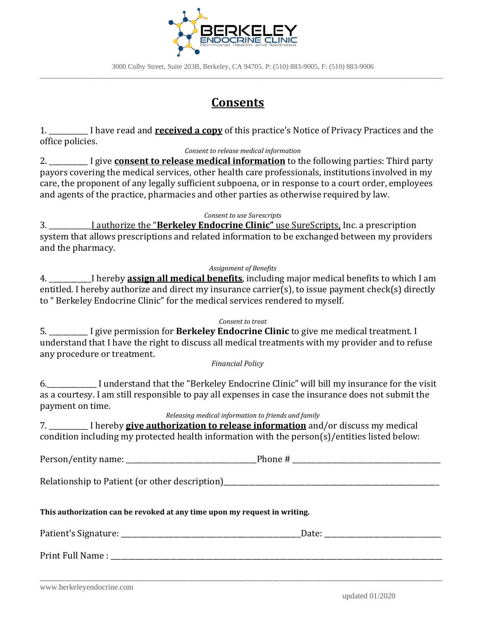

## **Consents**

1. \_\_\_\_\_\_\_\_\_\_\_ I have read and **received a copy** of this practice's Notice of Privacy Practices and the office policies.

#### *Consent to release medical information*

2. \_\_\_\_\_\_\_\_\_\_\_ I give **consent to release medical information** to the following parties: Third party payors covering the medical services, other health care professionals, institutions involved in my care, the proponent of any legally sufficient subpoena, or in response to a court order, employees and agents of the practice, pharmacies and other parties as otherwise required by law.

*Consent to use Surescripts*

3. \_\_\_\_\_\_\_\_\_\_\_\_I authorize the "**Berkeley Endocrine Clinic"** use SureScripts, Inc. a prescription system that allows prescriptions and related information to be exchanged between my providers and the pharmacy.

#### *Assignment of Benefits*

4. \_\_\_\_\_\_\_\_\_\_\_\_I hereby **assign all medical benefits**, including major medical benefits to which I am entitled. I hereby authorize and direct my insurance carrier(s), to issue payment check(s) directly to " Berkeley Endocrine Clinic" for the medical services rendered to myself.

#### *Consent to treat*

5. \_\_\_\_\_\_\_\_\_\_\_ I give permission for **Berkeley Endocrine Clinic** to give me medical treatment. I understand that I have the right to discuss all medical treatments with my provider and to refuse any procedure or treatment.

*Financial Policy*

6.\_\_\_\_\_\_\_\_\_\_\_\_\_\_ I understand that the "Berkeley Endocrine Clinic" will bill my insurance for the visit as a courtesy. I am still responsible to pay all expenses in case the insurance does not submit the payment on time.

*Releasing medical information to friends and family*

7. \_\_\_\_\_\_\_\_\_\_\_ I hereby **give authorization to release information** and/or discuss my medical condition including my protected health information with the person(s)/entities listed below:

Person/entity name: \_\_\_\_\_\_\_\_\_\_\_\_\_\_\_\_\_\_\_\_\_\_\_\_\_\_\_\_\_\_\_\_\_\_\_\_\_Phone # \_\_\_\_\_\_\_\_\_\_\_\_\_\_\_\_\_\_\_\_\_\_\_\_\_\_\_\_\_\_\_\_\_\_\_\_\_\_\_\_\_\_

Relationship to Patient (or other description)

## **This authorization can be revoked at any time upon my request in writing.**

| Patient's Signature: __ | Date: |
|-------------------------|-------|
| Print Full Name:        |       |
|                         |       |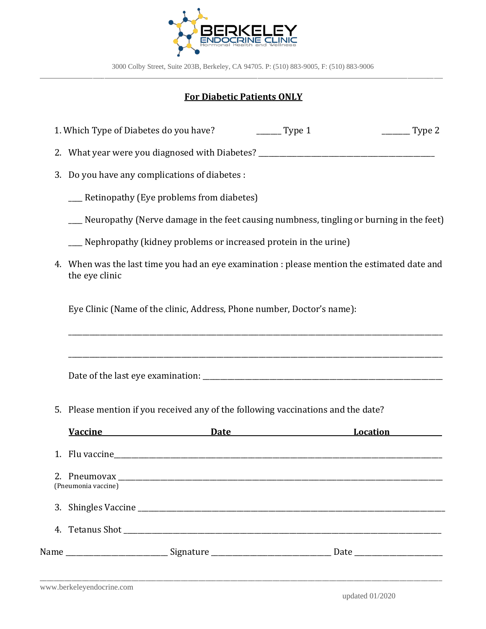

## **For Diabetic Patients ONLY**

1. Which Type of Diabetes do you have? \_\_\_\_\_\_\_\_ Type 1 \_\_\_\_\_\_\_\_\_ Type 2

2. What year were you diagnosed with Diabetes? \_\_\_\_\_\_\_\_\_\_\_\_\_\_\_\_\_\_\_\_\_\_\_\_\_\_\_\_\_\_\_\_\_

3. Do you have any complications of diabetes :

| Retinopathy (Eye problems from diabetes) |  |  |
|------------------------------------------|--|--|
|------------------------------------------|--|--|

- \_\_\_\_ Neuropathy (Nerve damage in the feet causing numbness, tingling or burning in the feet)
- \_\_\_\_ Nephropathy (kidney problems or increased protein in the urine)
- 4. When was the last time you had an eye examination : please mention the estimated date and the eye clinic

\_\_\_\_\_\_\_\_\_\_\_\_\_\_\_\_\_\_\_\_\_\_\_\_\_\_\_\_\_\_\_\_\_\_\_\_\_\_\_\_\_\_\_\_\_\_\_\_\_\_\_\_\_\_\_\_\_\_\_\_\_\_\_\_\_\_\_\_\_\_\_\_\_\_\_\_\_\_\_\_\_\_\_\_\_\_\_\_\_\_\_\_\_\_\_\_\_\_\_\_\_\_\_\_\_\_

\_\_\_\_\_\_\_\_\_\_\_\_\_\_\_\_\_\_\_\_\_\_\_\_\_\_\_\_\_\_\_\_\_\_\_\_\_\_\_\_\_\_\_\_\_\_\_\_\_\_\_\_\_\_\_\_\_\_\_\_\_\_\_\_\_\_\_\_\_\_\_\_\_\_\_\_\_\_\_\_\_\_\_\_\_\_\_\_\_\_\_\_\_\_\_\_\_\_\_\_\_\_\_\_\_\_

Eye Clinic (Name of the clinic, Address, Phone number, Doctor's name):

Date of the last eye examination: \_\_\_\_\_\_\_\_\_\_\_\_\_\_\_\_\_\_\_\_\_\_\_\_\_\_\_\_\_\_\_\_\_\_\_\_\_\_\_\_\_\_\_\_\_\_\_\_\_\_\_\_\_\_\_\_\_\_\_\_\_\_\_\_\_\_\_\_

5. Please mention if you received any of the following vaccinations and the date?

| <b>Vaccine</b>      | Date                                                                             | Location<br><u>Location</u> |
|---------------------|----------------------------------------------------------------------------------|-----------------------------|
|                     |                                                                                  |                             |
| (Pneumonia vaccine) |                                                                                  |                             |
|                     |                                                                                  |                             |
|                     |                                                                                  |                             |
|                     | Name ________________________________Signature _________________________________ |                             |

\_\_\_\_\_\_\_\_\_\_\_\_\_\_\_\_\_\_\_\_\_\_\_\_\_\_\_\_\_\_\_\_\_\_\_\_\_\_\_\_\_\_\_\_\_\_\_\_\_\_\_\_\_\_\_\_\_\_\_\_\_\_\_\_\_\_\_\_\_\_\_\_\_\_\_\_\_\_\_\_\_\_\_\_\_\_\_\_\_\_\_\_\_\_\_\_\_\_\_\_\_\_\_\_\_\_\_\_\_\_\_\_\_\_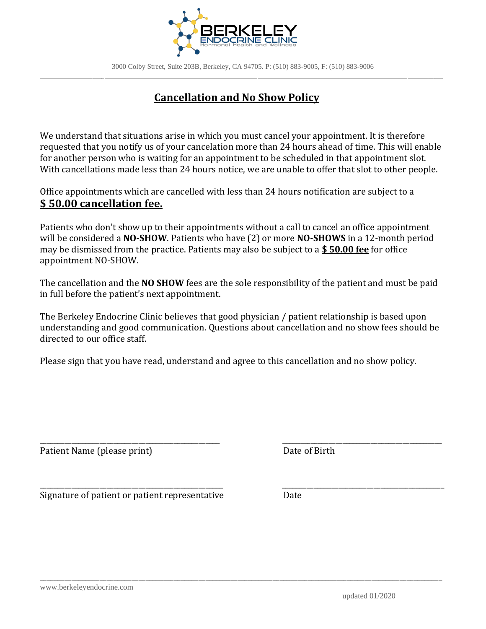

## **Cancellation and No Show Policy**

We understand that situations arise in which you must cancel your appointment. It is therefore requested that you notify us of your cancelation more than 24 hours ahead of time. This will enable for another person who is waiting for an appointment to be scheduled in that appointment slot. With cancellations made less than 24 hours notice, we are unable to offer that slot to other people.

Office appointments which are cancelled with less than 24 hours notification are subject to a **\$ 50.00 cancellation fee.**

Patients who don't show up to their appointments without a call to cancel an office appointment will be considered a **NO-SHOW**. Patients who have (2) or more **NO-SHOWS** in a 12-month period may be dismissed from the practice. Patients may also be subject to a **\$ 50.00 fee** for office appointment NO-SHOW.

The cancellation and the **NO SHOW** fees are the sole responsibility of the patient and must be paid in full before the patient's next appointment.

The Berkeley Endocrine Clinic believes that good physician / patient relationship is based upon understanding and good communication. Questions about cancellation and no show fees should be directed to our office staff.

\_\_\_\_\_\_\_\_\_\_\_\_\_\_\_\_\_\_\_\_\_\_\_\_\_\_\_\_\_\_\_\_\_\_\_\_\_\_\_\_\_\_\_\_\_\_\_\_\_\_\_ \_\_\_\_\_\_\_\_\_\_\_\_\_\_\_\_\_\_\_\_\_\_\_\_\_\_\_\_\_\_\_\_\_\_\_\_\_\_\_\_\_\_\_\_\_

\_\_\_\_\_\_\_\_\_\_\_\_\_\_\_\_\_\_\_\_\_\_\_\_\_\_\_\_\_\_\_\_\_\_\_\_\_\_\_\_\_\_\_\_\_\_\_\_\_\_\_\_ \_\_\_\_\_\_\_\_\_\_\_\_\_\_\_\_\_\_\_\_\_\_\_\_\_\_\_\_\_\_\_\_\_\_\_\_\_\_\_\_\_\_\_\_\_\_

\_\_\_\_\_\_\_\_\_\_\_\_\_\_\_\_\_\_\_\_\_\_\_\_\_\_\_\_\_\_\_\_\_\_\_\_\_\_\_\_\_\_\_\_\_\_\_\_\_\_\_\_\_\_\_\_\_\_\_\_\_\_\_\_\_\_\_\_\_\_\_\_\_\_\_\_\_\_\_\_\_\_\_\_\_\_\_\_\_\_\_\_\_\_\_\_\_\_\_\_\_\_\_\_\_\_\_\_\_\_\_\_\_\_

Please sign that you have read, understand and agree to this cancellation and no show policy.

Patient Name (please print) Date of Birth

Signature of patient or patient representative Date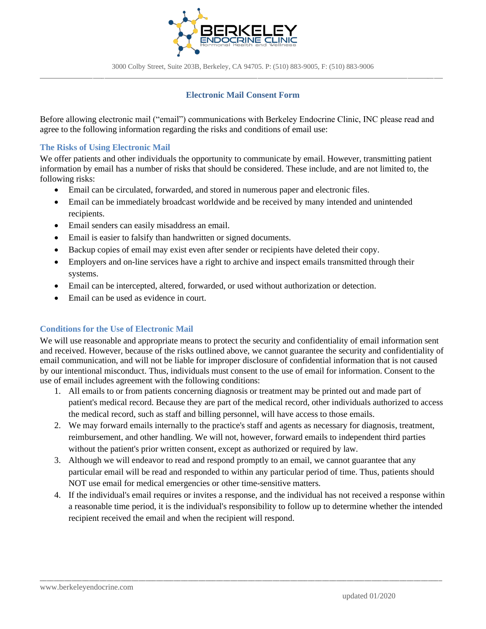

### **Electronic Mail Consent Form**

Before allowing electronic mail ("email") communications with Berkeley Endocrine Clinic, INC please read and agree to the following information regarding the risks and conditions of email use:

#### **The Risks of Using Electronic Mail**

We offer patients and other individuals the opportunity to communicate by email. However, transmitting patient information by email has a number of risks that should be considered. These include, and are not limited to, the following risks:

- Email can be circulated, forwarded, and stored in numerous paper and electronic files.
- Email can be immediately broadcast worldwide and be received by many intended and unintended recipients.
- Email senders can easily misaddress an email.
- Email is easier to falsify than handwritten or signed documents.
- Backup copies of email may exist even after sender or recipients have deleted their copy.
- Employers and on-line services have a right to archive and inspect emails transmitted through their systems.
- Email can be intercepted, altered, forwarded, or used without authorization or detection.
- Email can be used as evidence in court.

#### **Conditions for the Use of Electronic Mail**

We will use reasonable and appropriate means to protect the security and confidentiality of email information sent and received. However, because of the risks outlined above, we cannot guarantee the security and confidentiality of email communication, and will not be liable for improper disclosure of confidential information that is not caused by our intentional misconduct. Thus, individuals must consent to the use of email for information. Consent to the use of email includes agreement with the following conditions:

- 1. All emails to or from patients concerning diagnosis or treatment may be printed out and made part of patient's medical record. Because they are part of the medical record, other individuals authorized to access the medical record, such as staff and billing personnel, will have access to those emails.
- 2. We may forward emails internally to the practice's staff and agents as necessary for diagnosis, treatment, reimbursement, and other handling. We will not, however, forward emails to independent third parties without the patient's prior written consent, except as authorized or required by law.
- 3. Although we will endeavor to read and respond promptly to an email, we cannot guarantee that any particular email will be read and responded to within any particular period of time. Thus, patients should NOT use email for medical emergencies or other time-sensitive matters.
- 4. If the individual's email requires or invites a response, and the individual has not received a response within a reasonable time period, it is the individual's responsibility to follow up to determine whether the intended recipient received the email and when the recipient will respond.

\_\_\_\_\_\_\_\_\_\_\_\_\_\_\_\_\_\_\_\_\_\_\_\_\_\_\_\_\_\_\_\_\_\_\_\_\_\_\_\_\_\_\_\_\_\_\_\_\_\_\_\_\_\_\_\_\_\_\_\_\_\_\_\_\_\_\_\_\_\_\_\_\_\_\_\_\_\_\_\_\_\_\_\_\_\_\_\_\_\_\_\_\_\_\_\_\_\_\_\_\_\_\_\_\_\_\_\_\_\_\_\_\_\_